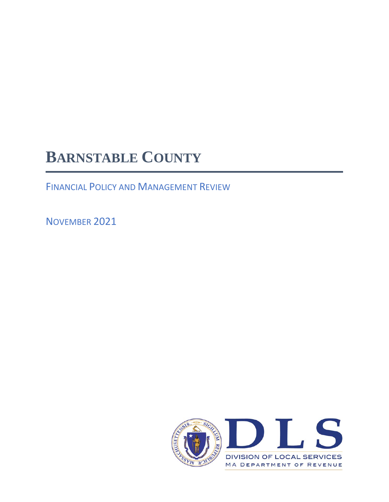# **BARNSTABLE COUNTY**

FINANCIAL POLICY AND MANAGEMENT REVIEW

NOVEMBER 2021

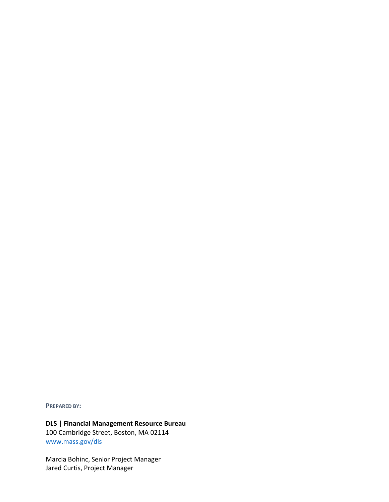**PREPARED BY:**

**DLS | Financial Management Resource Bureau** 100 Cambridge Street, Boston, MA 02114 [www.mass.gov/dls](http://www.mass.gov/dls)

Marcia Bohinc, Senior Project Manager Jared Curtis, Project Manager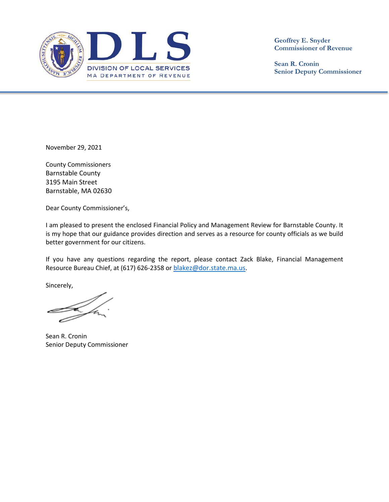

**Geoffrey E. Snyder Commissioner of Revenue**

**Sean R. Cronin Senior Deputy Commissioner**

November 29, 2021

County Commissioners Barnstable County 3195 Main Street Barnstable, MA 02630

Dear County Commissioner's,

I am pleased to present the enclosed Financial Policy and Management Review for Barnstable County. It is my hope that our guidance provides direction and serves as a resource for county officials as we build better government for our citizens.

If you have any questions regarding the report, please contact Zack Blake, Financial Management Resource Bureau Chief, at (617) 626-2358 or [blakez@dor.state.ma.us.](mailto:blakez@dor.state.ma.us)

Sincerely,

Sean R. Cronin Senior Deputy Commissioner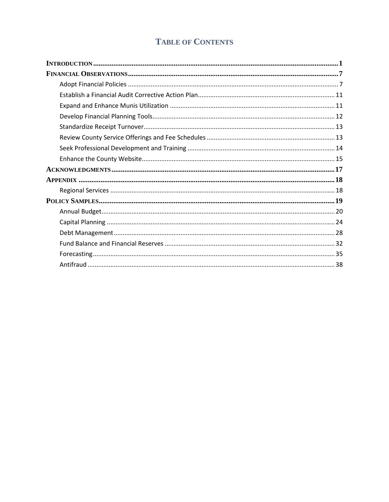# **TABLE OF CONTENTS**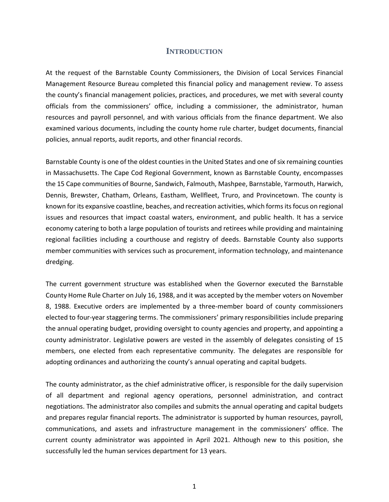#### **INTRODUCTION**

<span id="page-6-0"></span>At the request of the Barnstable County Commissioners, the Division of Local Services Financial Management Resource Bureau completed this financial policy and management review. To assess the county's financial management policies, practices, and procedures, we met with several county officials from the commissioners' office, including a commissioner, the administrator, human resources and payroll personnel, and with various officials from the finance department. We also examined various documents, including the county home rule charter, budget documents, financial policies, annual reports, audit reports, and other financial records.

Barnstable County is one of the oldest counties in the United States and one of six remaining counties in Massachusetts. The Cape Cod Regional Government, known as Barnstable County, encompasses the 15 Cape communities of Bourne, Sandwich, Falmouth, Mashpee, Barnstable, Yarmouth, Harwich, Dennis, Brewster, Chatham, Orleans, Eastham, Wellfleet, Truro, and Provincetown. The county is known for its expansive coastline, beaches, and recreation activities, which forms its focus on regional issues and resources that impact coastal waters, environment, and public health. It has a service economy catering to both a large population of tourists and retirees while providing and maintaining regional facilities including a courthouse and registry of deeds. Barnstable County also supports member communities with services such as procurement, information technology, and maintenance dredging.

The current government structure was established when the Governor executed the Barnstable County Home Rule Charter on July 16, 1988, and it was accepted by the member voters on November 8, 1988. Executive orders are implemented by a three-member board of county commissioners elected to four-year staggering terms. The commissioners' primary responsibilities include preparing the annual operating budget, providing oversight to county agencies and property, and appointing a county administrator. Legislative powers are vested in the assembly of delegates consisting of 15 members, one elected from each representative community. The delegates are responsible for adopting ordinances and authorizing the county's annual operating and capital budgets.

The county administrator, as the chief administrative officer, is responsible for the daily supervision of all department and regional agency operations, personnel administration, and contract negotiations. The administrator also compiles and submits the annual operating and capital budgets and prepares regular financial reports. The administrator is supported by human resources, payroll, communications, and assets and infrastructure management in the commissioners' office. The current county administrator was appointed in April 2021. Although new to this position, she successfully led the human services department for 13 years.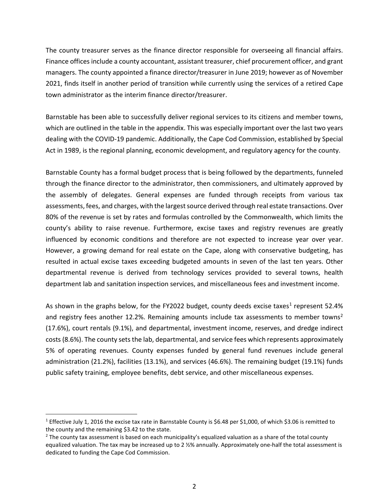The county treasurer serves as the finance director responsible for overseeing all financial affairs. Finance offices include a county accountant, assistant treasurer, chief procurement officer, and grant managers. The county appointed a finance director/treasurer in June 2019; however as of November 2021, finds itself in another period of transition while currently using the services of a retired Cape town administrator as the interim finance director/treasurer.

Barnstable has been able to successfully deliver regional services to its citizens and member towns, which are outlined in the table in the appendix. This was especially important over the last two years dealing with the COVID-19 pandemic. Additionally, the Cape Cod Commission, established by Special Act in 1989, is the regional planning, economic development, and regulatory agency for the county.

Barnstable County has a formal budget process that is being followed by the departments, funneled through the finance director to the administrator, then commissioners, and ultimately approved by the assembly of delegates. General expenses are funded through receipts from various tax assessments, fees, and charges, with the largest source derived through real estate transactions. Over 80% of the revenue is set by rates and formulas controlled by the Commonwealth, which limits the county's ability to raise revenue. Furthermore, excise taxes and registry revenues are greatly influenced by economic conditions and therefore are not expected to increase year over year. However, a growing demand for real estate on the Cape, along with conservative budgeting, has resulted in actual excise taxes exceeding budgeted amounts in seven of the last ten years. Other departmental revenue is derived from technology services provided to several towns, health department lab and sanitation inspection services, and miscellaneous fees and investment income.

As shown in the graphs below, for the FY2022 budget, county deeds excise taxes<sup>[1](#page-7-0)</sup> represent 52.4% and registry fees another 1[2](#page-7-1).2%. Remaining amounts include tax assessments to member towns<sup>2</sup> (17.6%), court rentals (9.1%), and departmental, investment income, reserves, and dredge indirect costs (8.6%). The county sets the lab, departmental, and service fees which represents approximately 5% of operating revenues. County expenses funded by general fund revenues include general administration (21.2%), facilities (13.1%), and services (46.6%). The remaining budget (19.1%) funds public safety training, employee benefits, debt service, and other miscellaneous expenses.

<span id="page-7-0"></span><sup>1</sup> Effective July 1, 2016 the excise tax rate in Barnstable County is \$6.48 per \$1,000, of which \$3.06 is remitted to the county and the remaining \$3.42 to the state.

<span id="page-7-1"></span> $<sup>2</sup>$  The county tax assessment is based on each municipality's equalized valuation as a share of the total county</sup> equalized valuation. The tax may be increased up to 2 ½% annually. Approximately one-half the total assessment is dedicated to funding the Cape Cod Commission.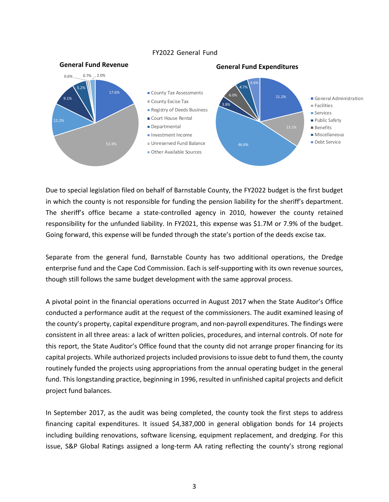#### FY2022 General Fund



Due to special legislation filed on behalf of Barnstable County, the FY2022 budget is the first budget in which the county is not responsible for funding the pension liability for the sheriff's department. The sheriff's office became a state-controlled agency in 2010, however the county retained responsibility for the unfunded liability. In FY2021, this expense was \$1.7M or 7.9% of the budget. Going forward, this expense will be funded through the state's portion of the deeds excise tax.

Separate from the general fund, Barnstable County has two additional operations, the Dredge enterprise fund and the Cape Cod Commission. Each is self-supporting with its own revenue sources, though still follows the same budget development with the same approval process.

A pivotal point in the financial operations occurred in August 2017 when the State Auditor's Office conducted a performance audit at the request of the commissioners. The audit examined leasing of the county's property, capital expenditure program, and non-payroll expenditures. The findings were consistent in all three areas: a lack of written policies, procedures, and internal controls. Of note for this report, the State Auditor's Office found that the county did not arrange proper financing for its capital projects. While authorized projects included provisions to issue debt to fund them, the county routinely funded the projects using appropriations from the annual operating budget in the general fund. This longstanding practice, beginning in 1996, resulted in unfinished capital projects and deficit project fund balances.

In September 2017, as the audit was being completed, the county took the first steps to address financing capital expenditures. It issued \$4,387,000 in general obligation bonds for 14 projects including building renovations, software licensing, equipment replacement, and dredging. For this issue, S&P Global Ratings assigned a long-term AA rating reflecting the county's strong regional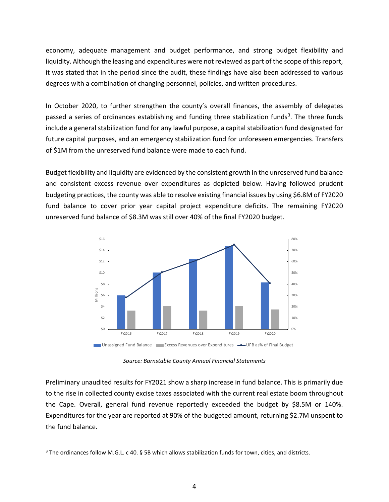economy, adequate management and budget performance, and strong budget flexibility and liquidity. Although the leasing and expenditures were not reviewed as part of the scope of this report, it was stated that in the period since the audit, these findings have also been addressed to various degrees with a combination of changing personnel, policies, and written procedures.

In October 2020, to further strengthen the county's overall finances, the assembly of delegates passed a series of ordinances establishing and funding three stabilization funds<sup>[3](#page-9-0)</sup>. The three funds include a general stabilization fund for any lawful purpose, a capital stabilization fund designated for future capital purposes, and an emergency stabilization fund for unforeseen emergencies. Transfers of \$1M from the unreserved fund balance were made to each fund.

Budget flexibility and liquidity are evidenced by the consistent growth in the unreserved fund balance and consistent excess revenue over expenditures as depicted below. Having followed prudent budgeting practices, the county was able to resolve existing financial issues by using \$6.8M of FY2020 fund balance to cover prior year capital project expenditure deficits. The remaining FY2020 unreserved fund balance of \$8.3M was still over 40% of the final FY2020 budget.



*Source: Barnstable County Annual Financial Statements*

Preliminary unaudited results for FY2021 show a sharp increase in fund balance. This is primarily due to the rise in collected county excise taxes associated with the current real estate boom throughout the Cape. Overall, general fund revenue reportedly exceeded the budget by \$8.5M or 140%. Expenditures for the year are reported at 90% of the budgeted amount, returning \$2.7M unspent to the fund balance.

<span id="page-9-0"></span><sup>3</sup> The ordinances follow M.G.L. c 40. § 5B which allows stabilization funds for town, cities, and districts.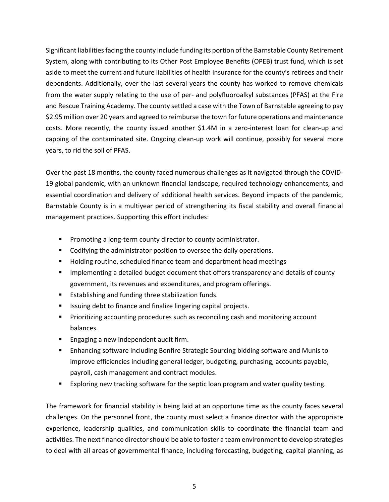Significant liabilities facing the county include funding its portion of the Barnstable County Retirement System, along with contributing to its Other Post Employee Benefits (OPEB) trust fund, which is set aside to meet the current and future liabilities of health insurance for the county's retirees and their dependents. Additionally, over the last several years the county has worked to remove chemicals from the water supply relating to the use of per- and polyfluoroalkyl substances (PFAS) at the Fire and Rescue Training Academy. The county settled a case with the Town of Barnstable agreeing to pay \$2.95 million over 20 years and agreed to reimburse the town for future operations and maintenance costs. More recently, the county issued another \$1.4M in a zero-interest loan for clean-up and capping of the contaminated site. Ongoing clean-up work will continue, possibly for several more years, to rid the soil of PFAS.

Over the past 18 months, the county faced numerous challenges as it navigated through the COVID-19 global pandemic, with an unknown financial landscape, required technology enhancements, and essential coordination and delivery of additional health services. Beyond impacts of the pandemic, Barnstable County is in a multiyear period of strengthening its fiscal stability and overall financial management practices. Supporting this effort includes:

- **Promoting a long-term county director to county administrator.**
- Codifying the administrator position to oversee the daily operations.
- **Holding routine, scheduled finance team and department head meetings**
- **IMPLEM** Implementing a detailed budget document that offers transparency and details of county government, its revenues and expenditures, and program offerings.
- **Establishing and funding three stabilization funds.**
- Issuing debt to finance and finalize lingering capital projects.
- **Prioritizing accounting procedures such as reconciling cash and monitoring account** balances.
- **Engaging a new independent audit firm.**
- Enhancing software including Bonfire Strategic Sourcing bidding software and Munis to improve efficiencies including general ledger, budgeting, purchasing, accounts payable, payroll, cash management and contract modules.
- Exploring new tracking software for the septic loan program and water quality testing.

The framework for financial stability is being laid at an opportune time as the county faces several challenges. On the personnel front, the county must select a finance director with the appropriate experience, leadership qualities, and communication skills to coordinate the financial team and activities. The next finance director should be able to foster a team environment to develop strategies to deal with all areas of governmental finance, including forecasting, budgeting, capital planning, as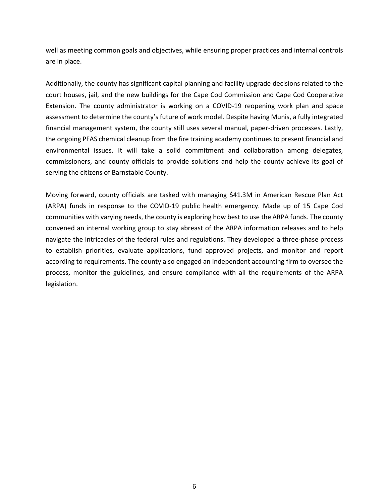well as meeting common goals and objectives, while ensuring proper practices and internal controls are in place.

Additionally, the county has significant capital planning and facility upgrade decisions related to the court houses, jail, and the new buildings for the Cape Cod Commission and Cape Cod Cooperative Extension. The county administrator is working on a COVID-19 reopening work plan and space assessment to determine the county's future of work model. Despite having Munis, a fully integrated financial management system, the county still uses several manual, paper-driven processes. Lastly, the ongoing PFAS chemical cleanup from the fire training academy continues to present financial and environmental issues. It will take a solid commitment and collaboration among delegates, commissioners, and county officials to provide solutions and help the county achieve its goal of serving the citizens of Barnstable County.

Moving forward, county officials are tasked with managing \$41.3M in American Rescue Plan Act (ARPA) funds in response to the COVID-19 public health emergency. Made up of 15 Cape Cod communities with varying needs, the county is exploring how best to use the ARPA funds. The county convened an internal working group to stay abreast of the ARPA information releases and to help navigate the intricacies of the federal rules and regulations. They developed a three-phase process to establish priorities, evaluate applications, fund approved projects, and monitor and report according to requirements. The county also engaged an independent accounting firm to oversee the process, monitor the guidelines, and ensure compliance with all the requirements of the ARPA legislation.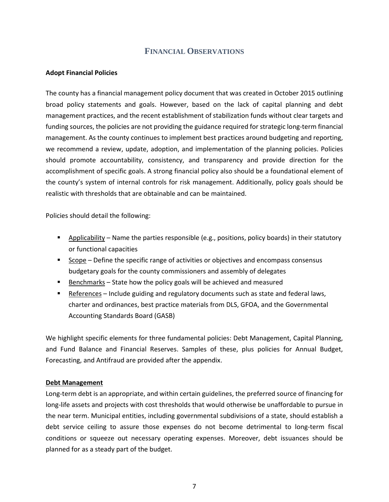## **FINANCIAL OBSERVATIONS**

## <span id="page-12-1"></span><span id="page-12-0"></span>**Adopt Financial Policies**

The county has a financial management policy document that was created in October 2015 outlining broad policy statements and goals. However, based on the lack of capital planning and debt management practices, and the recent establishment of stabilization funds without clear targets and funding sources, the policies are not providing the guidance required for strategic long-term financial management. As the county continues to implement best practices around budgeting and reporting, we recommend a review, update, adoption, and implementation of the planning policies. Policies should promote accountability, consistency, and transparency and provide direction for the accomplishment of specific goals. A strong financial policy also should be a foundational element of the county's system of internal controls for risk management. Additionally, policy goals should be realistic with thresholds that are obtainable and can be maintained.

Policies should detail the following:

- Applicability Name the parties responsible (e.g., positions, policy boards) in their statutory or functional capacities
- Scope Define the specific range of activities or objectives and encompass consensus budgetary goals for the county commissioners and assembly of delegates
- $\blacksquare$  Benchmarks State how the policy goals will be achieved and measured
- References Include guiding and regulatory documents such as state and federal laws, charter and ordinances, best practice materials from DLS, GFOA, and the Governmental Accounting Standards Board (GASB)

We highlight specific elements for three fundamental policies: Debt Management, Capital Planning, and Fund Balance and Financial Reserves. Samples of these, plus policies for Annual Budget, Forecasting, and Antifraud are provided after the appendix.

## **Debt Management**

Long-term debt is an appropriate, and within certain guidelines, the preferred source of financing for long-life assets and projects with cost thresholds that would otherwise be unaffordable to pursue in the near term. Municipal entities, including governmental subdivisions of a state, should establish a debt service ceiling to assure those expenses do not become detrimental to long-term fiscal conditions or squeeze out necessary operating expenses. Moreover, debt issuances should be planned for as a steady part of the budget.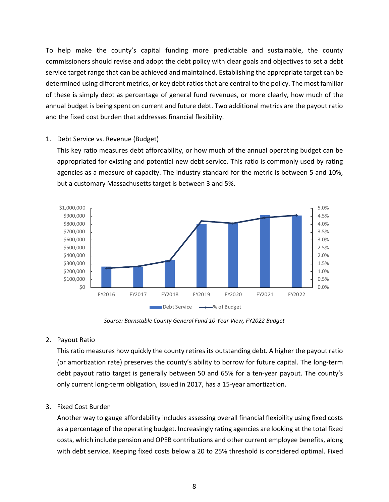To help make the county's capital funding more predictable and sustainable, the county commissioners should revise and adopt the debt policy with clear goals and objectives to set a debt service target range that can be achieved and maintained. Establishing the appropriate target can be determined using different metrics, or key debt ratios that are central to the policy. The most familiar of these is simply debt as percentage of general fund revenues, or more clearly, how much of the annual budget is being spent on current and future debt. Two additional metrics are the payout ratio and the fixed cost burden that addresses financial flexibility.

## 1. Debt Service vs. Revenue (Budget)

This key ratio measures debt affordability, or how much of the annual operating budget can be appropriated for existing and potential new debt service. This ratio is commonly used by rating agencies as a measure of capacity. The industry standard for the metric is between 5 and 10%, but a customary Massachusetts target is between 3 and 5%.



*Source: Barnstable County General Fund 10-Year View, FY2022 Budget*

## 2. Payout Ratio

This ratio measures how quickly the county retires its outstanding debt. A higher the payout ratio (or amortization rate) preserves the county's ability to borrow for future capital. The long-term debt payout ratio target is generally between 50 and 65% for a ten-year payout. The county's only current long-term obligation, issued in 2017, has a 15-year amortization.

## 3. Fixed Cost Burden

Another way to gauge affordability includes assessing overall financial flexibility using fixed costs as a percentage of the operating budget. Increasingly rating agencies are looking at the total fixed costs, which include pension and OPEB contributions and other current employee benefits, along with debt service. Keeping fixed costs below a 20 to 25% threshold is considered optimal. Fixed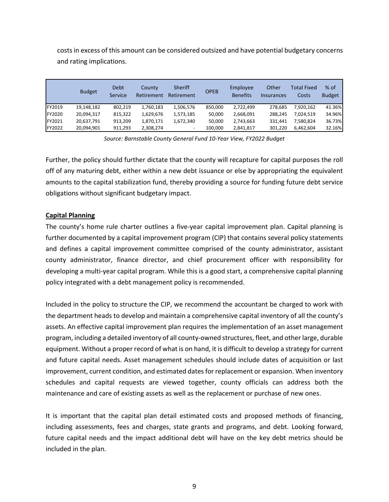|               | <b>Budget</b> | Debt<br>Service | County<br>Retirement | <b>Sheriff</b><br>Retirement | <b>OPEB</b> | Employee<br><b>Benefits</b> | Other<br>Insurances | <b>Total Fixed</b><br>Costs | $%$ of<br><b>Budget</b> |
|---------------|---------------|-----------------|----------------------|------------------------------|-------------|-----------------------------|---------------------|-----------------------------|-------------------------|
| FY2019        | 19,148,182    | 802,219         | 1,760,183            | 1,506,576                    | 850,000     | 2,722,499                   | 278.685             | 7,920,162                   | 41.36%                  |
| FY2020        | 20,094,317    | 815,322         | 1,629,676            | 1,573,185                    | 50,000      | 2,668,091                   | 288.245             | 7.024.519                   | 34.96%                  |
| <b>FY2021</b> | 20,637,791    | 913,209         | 1,870,171            | 1,672,340                    | 50,000      | 2,743,663                   | 331,441             | 7,580,824                   | 36.73%                  |
| FY2022        | 20,094,901    | 911,293         | 2,308,274            | $\overline{\phantom{a}}$     | 100,000     | 2,841,817                   | 301.220             | 6,462,604                   | 32.16%                  |

costs in excess of this amount can be considered outsized and have potential budgetary concerns and rating implications.

*Source: Barnstable County General Fund 10-Year View, FY2022 Budget*

Further, the policy should further dictate that the county will recapture for capital purposes the roll off of any maturing debt, either within a new debt issuance or else by appropriating the equivalent amounts to the capital stabilization fund, thereby providing a source for funding future debt service obligations without significant budgetary impact.

## **Capital Planning**

The county's home rule charter outlines a five-year capital improvement plan. Capital planning is further documented by a capital improvement program (CIP) that contains several policy statements and defines a capital improvement committee comprised of the county administrator, assistant county administrator, finance director, and chief procurement officer with responsibility for developing a multi-year capital program. While this is a good start, a comprehensive capital planning policy integrated with a debt management policy is recommended.

Included in the policy to structure the CIP, we recommend the accountant be charged to work with the department heads to develop and maintain a comprehensive capital inventory of all the county's assets. An effective capital improvement plan requires the implementation of an asset management program, including a detailed inventory of all county-owned structures, fleet, and other large, durable equipment. Without a proper record of what is on hand, it is difficult to develop a strategy for current and future capital needs. Asset management schedules should include dates of acquisition or last improvement, current condition, and estimated dates for replacement or expansion. When inventory schedules and capital requests are viewed together, county officials can address both the maintenance and care of existing assets as well as the replacement or purchase of new ones.

It is important that the capital plan detail estimated costs and proposed methods of financing, including assessments, fees and charges, state grants and programs, and debt. Looking forward, future capital needs and the impact additional debt will have on the key debt metrics should be included in the plan.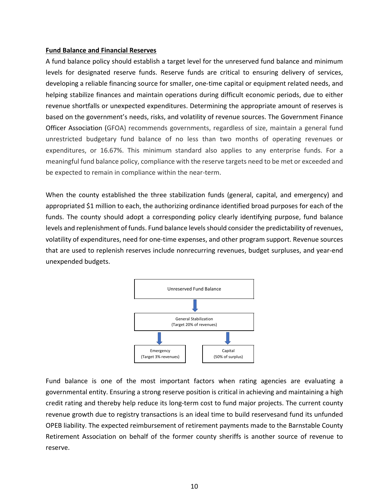#### **Fund Balance and Financial Reserves**

A fund balance policy should establish a target level for the unreserved fund balance and minimum levels for designated reserve funds. Reserve funds are critical to ensuring delivery of services, developing a reliable financing source for smaller, one-time capital or equipment related needs, and helping stabilize finances and maintain operations during difficult economic periods, due to either revenue shortfalls or unexpected expenditures. Determining the appropriate amount of reserves is based on the government's needs, risks, and volatility of revenue sources. The Government Finance Officer Association (GFOA) recommends governments, regardless of size, maintain a general fund unrestricted budgetary fund balance of no less than two months of operating revenues or expenditures, or 16.67%. This minimum standard also applies to any enterprise funds. For a meaningful fund balance policy, compliance with the reserve targets need to be met or exceeded and be expected to remain in compliance within the near-term.

When the county established the three stabilization funds (general, capital, and emergency) and appropriated \$1 million to each, the authorizing ordinance identified broad purposes for each of the funds. The county should adopt a corresponding policy clearly identifying purpose, fund balance levels and replenishment of funds. Fund balance levels should consider the predictability of revenues, volatility of expenditures, need for one-time expenses, and other program support. Revenue sources that are used to replenish reserves include nonrecurring revenues, budget surpluses, and year-end unexpended budgets.



Fund balance is one of the most important factors when rating agencies are evaluating a governmental entity. Ensuring a strong reserve position is critical in achieving and maintaining a high credit rating and thereby help reduce its long-term cost to fund major projects. The current county revenue growth due to registry transactions is an ideal time to build reservesand fund its unfunded OPEB liability. The expected reimbursement of retirement payments made to the Barnstable County Retirement Association on behalf of the former county sheriffs is another source of revenue to reserve.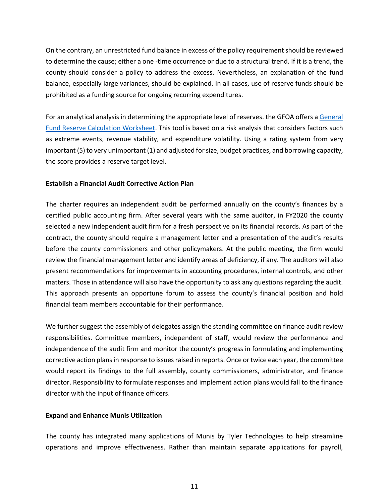On the contrary, an unrestricted fund balance in excess of the policy requirementshould be reviewed to determine the cause; either a one -time occurrence or due to a structural trend. If it is a trend, the county should consider a policy to address the excess. Nevertheless, an explanation of the fund balance, especially large variances, should be explained. In all cases, use of reserve funds should be prohibited as a funding source for ongoing recurring expenditures.

For an analytical analysis in determining the appropriate level of reserves. the GFOA offers a General [Fund Reserve Calculation Worksheet.](https://gfoaorg.cdn.prismic.io/gfoaorg/a922a480-599e-4e4f-bf5d-21b4f59b36eb_GF_Reserve_Calculation_Worksheet.xlsx) This tool is based on a risk analysis that considers factors such as extreme events, revenue stability, and expenditure volatility. Using a rating system from very important (5) to very unimportant (1) and adjusted for size, budget practices, and borrowing capacity, the score provides a reserve target level.

## <span id="page-16-0"></span>**Establish a Financial Audit Corrective Action Plan**

The charter requires an independent audit be performed annually on the county's finances by a certified public accounting firm. After several years with the same auditor, in FY2020 the county selected a new independent audit firm for a fresh perspective on its financial records. As part of the contract, the county should require a management letter and a presentation of the audit's results before the county commissioners and other policymakers. At the public meeting, the firm would review the financial management letter and identify areas of deficiency, if any. The auditors will also present recommendations for improvements in accounting procedures, internal controls, and other matters. Those in attendance will also have the opportunity to ask any questions regarding the audit. This approach presents an opportune forum to assess the county's financial position and hold financial team members accountable for their performance.

We further suggest the assembly of delegates assign the standing committee on finance audit review responsibilities. Committee members, independent of staff, would review the performance and independence of the audit firm and monitor the county's progress in formulating and implementing corrective action plans in response to issues raised in reports. Once or twice each year, the committee would report its findings to the full assembly, county commissioners, administrator, and finance director. Responsibility to formulate responses and implement action plans would fall to the finance director with the input of finance officers.

## <span id="page-16-1"></span>**Expand and Enhance Munis Utilization**

The county has integrated many applications of Munis by Tyler Technologies to help streamline operations and improve effectiveness. Rather than maintain separate applications for payroll,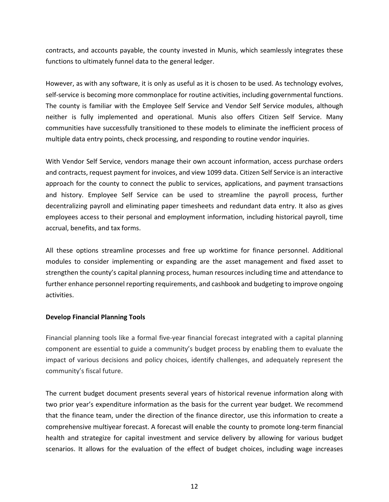contracts, and accounts payable, the county invested in Munis, which seamlessly integrates these functions to ultimately funnel data to the general ledger.

However, as with any software, it is only as useful as it is chosen to be used. As technology evolves, self-service is becoming more commonplace for routine activities, including governmental functions. The county is familiar with the Employee Self Service and Vendor Self Service modules, although neither is fully implemented and operational. Munis also offers Citizen Self Service. Many communities have successfully transitioned to these models to eliminate the inefficient process of multiple data entry points, check processing, and responding to routine vendor inquiries.

With Vendor Self Service, vendors manage their own account information, access purchase orders and contracts, request payment for invoices, and view 1099 data. Citizen Self Service is an interactive approach for the county to connect the public to services, applications, and payment transactions and history. Employee Self Service can be used to streamline the payroll process, further decentralizing payroll and eliminating paper timesheets and redundant data entry. It also as gives employees access to their personal and employment information, including historical payroll, time accrual, benefits, and tax forms.

All these options streamline processes and free up worktime for finance personnel. Additional modules to consider implementing or expanding are the asset management and fixed asset to strengthen the county's capital planning process, human resources including time and attendance to further enhance personnel reporting requirements, and cashbook and budgeting to improve ongoing activities.

## <span id="page-17-0"></span>**Develop Financial Planning Tools**

Financial planning tools like a formal five-year financial forecast integrated with a capital planning component are essential to guide a community's budget process by enabling them to evaluate the impact of various decisions and policy choices, identify challenges, and adequately represent the community's fiscal future.

The current budget document presents several years of historical revenue information along with two prior year's expenditure information as the basis for the current year budget. We recommend that the finance team, under the direction of the finance director, use this information to create a comprehensive multiyear forecast. A forecast will enable the county to promote long-term financial health and strategize for capital investment and service delivery by allowing for various budget scenarios. It allows for the evaluation of the effect of budget choices, including wage increases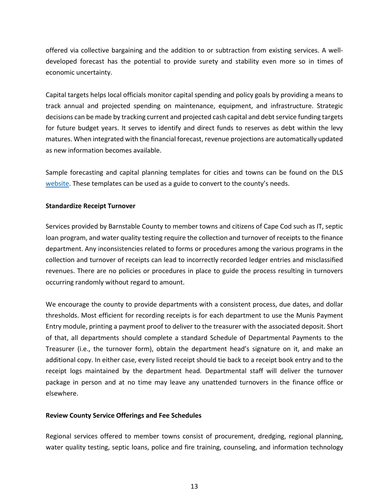offered via collective bargaining and the addition to or subtraction from existing services. A welldeveloped forecast has the potential to provide surety and stability even more so in times of economic uncertainty.

Capital targets helps local officials monitor capital spending and policy goals by providing a means to track annual and projected spending on maintenance, equipment, and infrastructure. Strategic decisions can be made by tracking current and projected cash capital and debt service funding targets for future budget years. It serves to identify and direct funds to reserves as debt within the levy matures. When integrated with the financial forecast, revenue projections are automatically updated as new information becomes available.

Sample forecasting and capital planning templates for cities and towns can be found on the DLS [website.](http://www.mass.gov/info-details/municipal-finance-tools-and-templates) These templates can be used as a guide to convert to the county's needs.

## <span id="page-18-0"></span>**Standardize Receipt Turnover**

Services provided by Barnstable County to member towns and citizens of Cape Cod such as IT, septic loan program, and water quality testing require the collection and turnover of receipts to the finance department. Any inconsistencies related to forms or procedures among the various programs in the collection and turnover of receipts can lead to incorrectly recorded ledger entries and misclassified revenues. There are no policies or procedures in place to guide the process resulting in turnovers occurring randomly without regard to amount.

We encourage the county to provide departments with a consistent process, due dates, and dollar thresholds. Most efficient for recording receipts is for each department to use the Munis Payment Entry module, printing a payment proof to deliver to the treasurer with the associated deposit. Short of that, all departments should complete a standard Schedule of Departmental Payments to the Treasurer (i.e., the turnover form), obtain the department head's signature on it, and make an additional copy. In either case, every listed receipt should tie back to a receipt book entry and to the receipt logs maintained by the department head. Departmental staff will deliver the turnover package in person and at no time may leave any unattended turnovers in the finance office or elsewhere.

## <span id="page-18-1"></span>**Review County Service Offerings and Fee Schedules**

Regional services offered to member towns consist of procurement, dredging, regional planning, water quality testing, septic loans, police and fire training, counseling, and information technology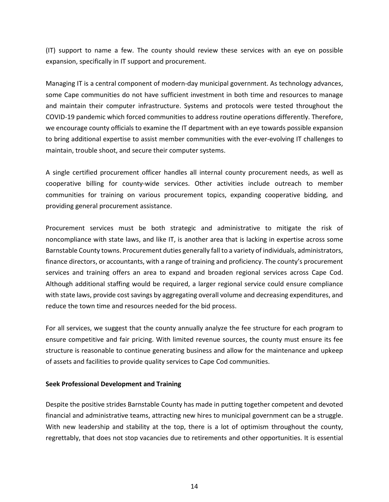(IT) support to name a few. The county should review these services with an eye on possible expansion, specifically in IT support and procurement.

Managing IT is a central component of modern-day municipal government. As technology advances, some Cape communities do not have sufficient investment in both time and resources to manage and maintain their computer infrastructure. Systems and protocols were tested throughout the COVID-19 pandemic which forced communities to address routine operations differently. Therefore, we encourage county officials to examine the IT department with an eye towards possible expansion to bring additional expertise to assist member communities with the ever-evolving IT challenges to maintain, trouble shoot, and secure their computer systems.

A single certified procurement officer handles all internal county procurement needs, as well as cooperative billing for county-wide services. Other activities include outreach to member communities for training on various procurement topics, expanding cooperative bidding, and providing general procurement assistance.

Procurement services must be both strategic and administrative to mitigate the risk of noncompliance with state laws, and like IT, is another area that is lacking in expertise across some Barnstable County towns. Procurement duties generally fall to a variety of individuals, administrators, finance directors, or accountants, with a range of training and proficiency. The county's procurement services and training offers an area to expand and broaden regional services across Cape Cod. Although additional staffing would be required, a larger regional service could ensure compliance with state laws, provide cost savings by aggregating overall volume and decreasing expenditures, and reduce the town time and resources needed for the bid process.

For all services, we suggest that the county annually analyze the fee structure for each program to ensure competitive and fair pricing. With limited revenue sources, the county must ensure its fee structure is reasonable to continue generating business and allow for the maintenance and upkeep of assets and facilities to provide quality services to Cape Cod communities.

## <span id="page-19-0"></span>**Seek Professional Development and Training**

Despite the positive strides Barnstable County has made in putting together competent and devoted financial and administrative teams, attracting new hires to municipal government can be a struggle. With new leadership and stability at the top, there is a lot of optimism throughout the county, regrettably, that does not stop vacancies due to retirements and other opportunities. It is essential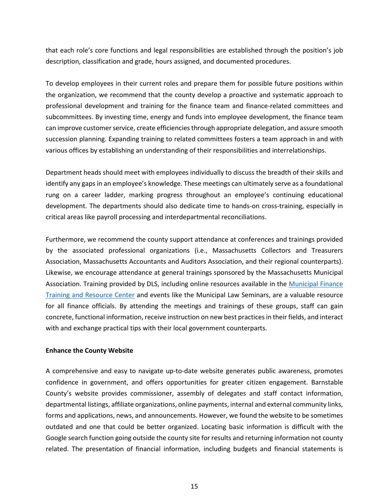that each role's core functions and legal responsibilities are established through the position's job description, classification and grade, hours assigned, and documented procedures.

To develop employees in their current roles and prepare them for possible future positions within the organization, we recommend that the county develop a proactive and systematic approach to professional development and training for the finance team and finance-related committees and subcommittees. By investing time, energy and funds into employee development, the finance team can improve customer service, create efficiencies through appropriate delegation, and assure smooth succession planning. Expanding training to related committees fosters a team approach in and with various offices by establishing an understanding of their responsibilities and interrelationships.

Department heads should meet with employees individually to discuss the breadth of their skills and identify any gaps in an employee's knowledge. These meetings can ultimately serve as a foundational rung on a career ladder, marking progress throughout an employee's continuing educational development. The departments should also dedicate time to hands-on cross-training, especially in critical areas like payroll processing and interdepartmental reconciliations.

Furthermore, we recommend the county support attendance at conferences and trainings provided by the associated professional organizations (i.e., Massachusetts Collectors and Treasurers Association, Massachusetts Accountants and Auditors Association, and their regional counterparts). Likewise, we encourage attendance at general trainings sponsored by the Massachusetts Municipal Association. Training provided by DLS, including online resources available in the [Municipal Finance](https://www.mass.gov/lists/municipal-finance-training-and-resource-center)  [Training and Resource Center](https://www.mass.gov/lists/municipal-finance-training-and-resource-center) and events like the Municipal Law Seminars, are a valuable resource for all finance officials. By attending the meetings and trainings of these groups, staff can gain concrete, functional information, receive instruction on new best practices in their fields, and interact with and exchange practical tips with their local government counterparts.

## <span id="page-20-0"></span>**Enhance the County Website**

A comprehensive and easy to navigate up-to-date website generates public awareness, promotes confidence in government, and offers opportunities for greater citizen engagement. Barnstable County's website provides commissioner, assembly of delegates and staff contact information, departmental listings, affiliate organizations, online payments, internal and external community links, forms and applications, news, and announcements. However, we found the website to be sometimes outdated and one that could be better organized. Locating basic information is difficult with the Google search function going outside the county site for results and returning information not county related. The presentation of financial information, including budgets and financial statements is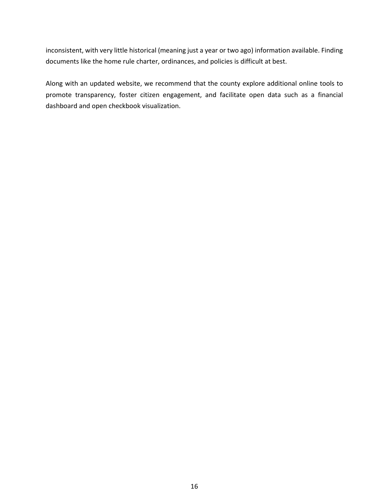inconsistent, with very little historical (meaning just a year or two ago) information available. Finding documents like the home rule charter, ordinances, and policies is difficult at best.

<span id="page-21-0"></span>Along with an updated website, we recommend that the county explore additional online tools to promote transparency, foster citizen engagement, and facilitate open data such as a financial dashboard and open checkbook visualization.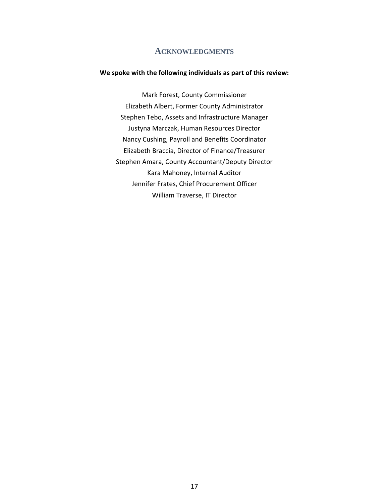## **ACKNOWLEDGMENTS**

#### **We spoke with the following individuals as part of this review:**

Mark Forest, County Commissioner Elizabeth Albert, Former County Administrator Stephen Tebo, Assets and Infrastructure Manager Justyna Marczak, Human Resources Director Nancy Cushing, Payroll and Benefits Coordinator Elizabeth Braccia, Director of Finance/Treasurer Stephen Amara, County Accountant/Deputy Director Kara Mahoney, Internal Auditor Jennifer Frates, Chief Procurement Officer William Traverse, IT Director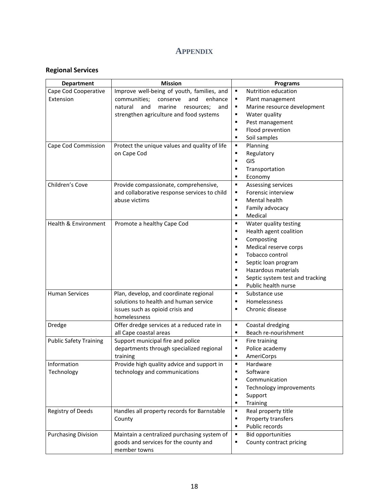# **APPENDIX**

# <span id="page-23-1"></span><span id="page-23-0"></span>**Regional Services**

| <b>Department</b>             | <b>Mission</b>                                        | <b>Programs</b>                                        |
|-------------------------------|-------------------------------------------------------|--------------------------------------------------------|
| Cape Cod Cooperative          | Improve well-being of youth, families, and            | Nutrition education<br>$\blacksquare$                  |
| Extension                     | communities;<br>and<br>enhance<br>conserve            | ٠<br>Plant management                                  |
|                               | natural<br>and<br>marine<br>resources;<br>and         | Marine resource development<br>٠                       |
|                               | strengthen agriculture and food systems               | Water quality<br>٠                                     |
|                               |                                                       | ٠<br>Pest management                                   |
|                               |                                                       | Flood prevention<br>$\blacksquare$                     |
|                               |                                                       | Soil samples<br>$\blacksquare$                         |
| Cape Cod Commission           | Protect the unique values and quality of life         | Planning<br>٠                                          |
|                               | on Cape Cod                                           | Regulatory<br>٠                                        |
|                               |                                                       | GIS<br>٠                                               |
|                               |                                                       | Transportation<br>$\blacksquare$                       |
|                               |                                                       | Economy<br>٠                                           |
| Children's Cove               | Provide compassionate, comprehensive,                 | $\blacksquare$<br>Assessing services                   |
|                               | and collaborative response services to child          | Forensic interview<br>٠                                |
|                               | abuse victims                                         | Mental health<br>$\blacksquare$                        |
|                               |                                                       | $\blacksquare$<br>Family advocacy                      |
|                               |                                                       | Medical<br>٠                                           |
| Health & Environment          | Promote a healthy Cape Cod                            | Water quality testing<br>٠                             |
|                               |                                                       | Health agent coalition<br>$\blacksquare$               |
|                               |                                                       | Composting<br>٠                                        |
|                               |                                                       | Medical reserve corps<br>$\blacksquare$                |
|                               |                                                       | Tobacco control<br>٠                                   |
|                               |                                                       | Septic loan program<br>٠                               |
|                               |                                                       | Hazardous materials<br>٠                               |
|                               |                                                       | Septic system test and tracking<br>٠                   |
|                               |                                                       | Public health nurse<br>$\blacksquare$                  |
| <b>Human Services</b>         | Plan, develop, and coordinate regional                | $\blacksquare$<br>Substance use                        |
|                               | solutions to health and human service                 | Homelessness<br>٠                                      |
|                               | issues such as opioid crisis and                      | Chronic disease<br>$\blacksquare$                      |
|                               | homelessness                                          |                                                        |
| Dredge                        | Offer dredge services at a reduced rate in            | ٠<br>Coastal dredging                                  |
|                               | all Cape coastal areas                                | Beach re-nourishment<br>٠                              |
| <b>Public Safety Training</b> | Support municipal fire and police                     | $\blacksquare$<br>Fire training                        |
|                               | departments through specialized regional              | Police academy<br>٠                                    |
|                               | training                                              | AmeriCorps<br>٠                                        |
| Information                   | Provide high quality advice and support in            | Hardware<br>٠                                          |
| Technology                    | technology and communications                         | Software<br>٠                                          |
|                               |                                                       | Communication<br>٠                                     |
|                               |                                                       | Technology improvements<br>٠                           |
|                               |                                                       | Support<br>٠<br>٠                                      |
|                               |                                                       | Training<br>٠                                          |
| Registry of Deeds             | Handles all property records for Barnstable           | Real property title<br>$\blacksquare$                  |
|                               | County                                                | Property transfers<br>Public records<br>$\blacksquare$ |
|                               |                                                       | $\blacksquare$                                         |
| <b>Purchasing Division</b>    | Maintain a centralized purchasing system of           | <b>Bid opportunities</b>                               |
|                               | goods and services for the county and<br>member towns | County contract pricing<br>٠                           |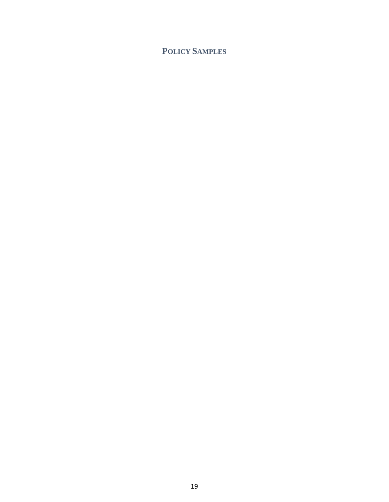# <span id="page-24-0"></span>**POLICY SAMPLES**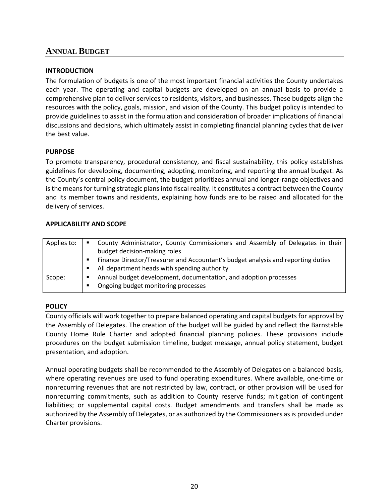# <span id="page-25-0"></span>**ANNUAL BUDGET**

## **INTRODUCTION**

The formulation of budgets is one of the most important financial activities the County undertakes each year. The operating and capital budgets are developed on an annual basis to provide a comprehensive plan to deliver services to residents, visitors, and businesses. These budgets align the resources with the policy, goals, mission, and vision of the County. This budget policy is intended to provide guidelines to assist in the formulation and consideration of broader implications of financial discussions and decisions, which ultimately assist in completing financial planning cycles that deliver the best value.

## **PURPOSE**

To promote transparency, procedural consistency, and fiscal sustainability, this policy establishes guidelines for developing, documenting, adopting, monitoring, and reporting the annual budget. As the County's central policy document, the budget prioritizes annual and longer-range objectives and is the means for turning strategic plans into fiscal reality. It constitutes a contract between the County and its member towns and residents, explaining how funds are to be raised and allocated for the delivery of services.

## **APPLICABILITY AND SCOPE**

| Applies to: | ٠ | County Administrator, County Commissioners and Assembly of Delegates in their<br>budget decision-making roles |
|-------------|---|---------------------------------------------------------------------------------------------------------------|
|             |   |                                                                                                               |
|             |   | Finance Director/Treasurer and Accountant's budget analysis and reporting duties                              |
|             |   | All department heads with spending authority                                                                  |
| Scope:      |   | Annual budget development, documentation, and adoption processes                                              |
|             |   | Ongoing budget monitoring processes                                                                           |
|             |   |                                                                                                               |

## **POLICY**

County officials will work together to prepare balanced operating and capital budgets for approval by the Assembly of Delegates. The creation of the budget will be guided by and reflect the Barnstable County Home Rule Charter and adopted financial planning policies. These provisions include procedures on the budget submission timeline, budget message, annual policy statement, budget presentation, and adoption.

Annual operating budgets shall be recommended to the Assembly of Delegates on a balanced basis, where operating revenues are used to fund operating expenditures. Where available, one-time or nonrecurring revenues that are not restricted by law, contract, or other provision will be used for nonrecurring commitments, such as addition to County reserve funds; mitigation of contingent liabilities; or supplemental capital costs. Budget amendments and transfers shall be made as authorized by the Assembly of Delegates, or as authorized by the Commissioners as is provided under Charter provisions.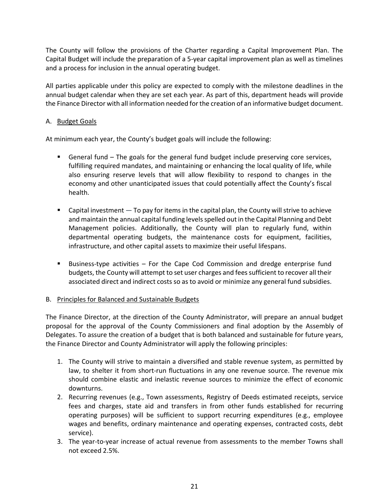The County will follow the provisions of the Charter regarding a Capital Improvement Plan. The Capital Budget will include the preparation of a 5-year capital improvement plan as well as timelines and a process for inclusion in the annual operating budget.

All parties applicable under this policy are expected to comply with the milestone deadlines in the annual budget calendar when they are set each year. As part of this, department heads will provide the Finance Director with all information needed for the creation of an informative budget document.

## A. Budget Goals

At minimum each year, the County's budget goals will include the following:

- General fund The goals for the general fund budget include preserving core services, fulfilling required mandates, and maintaining or enhancing the local quality of life, while also ensuring reserve levels that will allow flexibility to respond to changes in the economy and other unanticipated issues that could potentially affect the County's fiscal health.
- **Example 1** Capital investment  $-$  To pay for items in the capital plan, the County will strive to achieve and maintain the annual capital funding levels spelled out in the Capital Planning and Debt Management policies. Additionally, the County will plan to regularly fund, within departmental operating budgets, the maintenance costs for equipment, facilities, infrastructure, and other capital assets to maximize their useful lifespans.
- Business-type activities For the Cape Cod Commission and dredge enterprise fund budgets, the County will attempt to set user charges and fees sufficient to recover all their associated direct and indirect costs so as to avoid or minimize any general fund subsidies.
- B. Principles for Balanced and Sustainable Budgets

The Finance Director, at the direction of the County Administrator, will prepare an annual budget proposal for the approval of the County Commissioners and final adoption by the Assembly of Delegates. To assure the creation of a budget that is both balanced and sustainable for future years, the Finance Director and County Administrator will apply the following principles:

- 1. The County will strive to maintain a diversified and stable revenue system, as permitted by law, to shelter it from short-run fluctuations in any one revenue source. The revenue mix should combine elastic and inelastic revenue sources to minimize the effect of economic downturns.
- 2. Recurring revenues (e.g., Town assessments, Registry of Deeds estimated receipts, service fees and charges, state aid and transfers in from other funds established for recurring operating purposes) will be sufficient to support recurring expenditures (e.g., employee wages and benefits, ordinary maintenance and operating expenses, contracted costs, debt service).
- 3. The year-to-year increase of actual revenue from assessments to the member Towns shall not exceed 2.5%.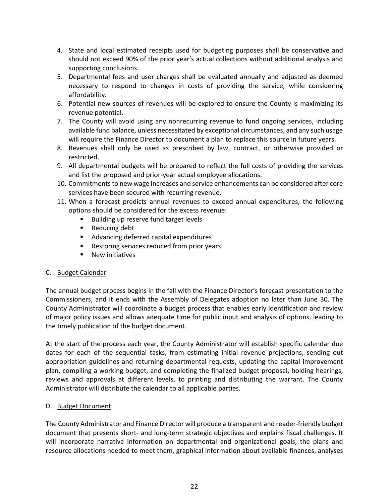- 4. State and local estimated receipts used for budgeting purposes shall be conservative and should not exceed 90% of the prior year's actual collections without additional analysis and supporting conclusions.
- 5. Departmental fees and user charges shall be evaluated annually and adjusted as deemed necessary to respond to changes in costs of providing the service, while considering affordability.
- 6. Potential new sources of revenues will be explored to ensure the County is maximizing its revenue potential.
- 7. The County will avoid using any nonrecurring revenue to fund ongoing services, including available fund balance, unless necessitated by exceptional circumstances, and any such usage will require the Finance Director to document a plan to replace this source in future years.
- 8. Revenues shall only be used as prescribed by law, contract, or otherwise provided or restricted.
- 9. All departmental budgets will be prepared to reflect the full costs of providing the services and list the proposed and prior-year actual employee allocations.
- 10. Commitments to new wage increases and service enhancements can be considered after core services have been secured with recurring revenue.
- 11. When a forecast predicts annual revenues to exceed annual expenditures, the following options should be considered for the excess revenue:
	- Building up reserve fund target levels
	- Reducing debt
	- Advancing deferred capital expenditures
	- Restoring services reduced from prior years
	- **New initiatives**

## C. Budget Calendar

The annual budget process begins in the fall with the Finance Director's forecast presentation to the Commissioners, and it ends with the Assembly of Delegates adoption no later than June 30. The County Administrator will coordinate a budget process that enables early identification and review of major policy issues and allows adequate time for public input and analysis of options, leading to the timely publication of the budget document.

At the start of the process each year, the County Administrator will establish specific calendar due dates for each of the sequential tasks, from estimating initial revenue projections, sending out appropriation guidelines and returning departmental requests, updating the capital improvement plan, compiling a working budget, and completing the finalized budget proposal, holding hearings, reviews and approvals at different levels, to printing and distributing the warrant. The County Administrator will distribute the calendar to all applicable parties.

## D. Budget Document

The County Administrator and Finance Director will produce a transparent and reader-friendly budget document that presents short- and long-term strategic objectives and explains fiscal challenges. It will incorporate narrative information on departmental and organizational goals, the plans and resource allocations needed to meet them, graphical information about available finances, analyses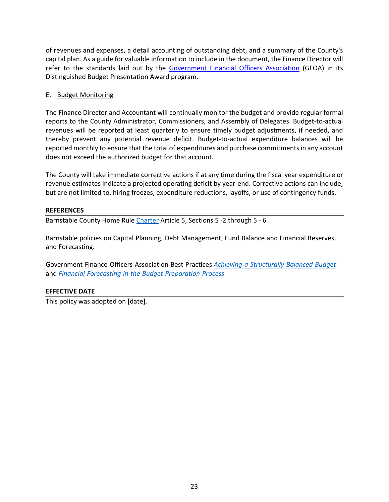of revenues and expenses, a detail accounting of outstanding debt, and a summary of the County's capital plan. As a guide for valuable information to include in the document, the Finance Director will refer to the standards laid out by the [Government Financial Officers Association](https://www.gfoa.org/budget-award) (GFOA) in its Distinguished Budget Presentation Award program.

## E. Budget Monitoring

The Finance Director and Accountant will continually monitor the budget and provide regular formal reports to the County Administrator, Commissioners, and Assembly of Delegates. Budget-to-actual revenues will be reported at least quarterly to ensure timely budget adjustments, if needed, and thereby prevent any potential revenue deficit. Budget-to-actual expenditure balances will be reported monthly to ensure that the total of expenditures and purchase commitments in any account does not exceed the authorized budget for that account.

The County will take immediate corrective actions if at any time during the fiscal year expenditure or revenue estimates indicate a projected operating deficit by year-end. Corrective actions can include, but are not limited to, hiring freezes, expenditure reductions, layoffs, or use of contingency funds.

## **REFERENCES**

Barnstable County Home Rul[e Charter](https://www.barnstablecounty.org/regional-government/assembly-of-delegates/home-rule-charter/) Article 5, Sections 5 -2 through 5 - 6

Barnstable policies on Capital Planning, Debt Management, Fund Balance and Financial Reserves, and Forecasting.

Government Finance Officers Association Best Practices *Achieving a [Structurally](https://www.gfoa.org/achieving-structurally-balanced-budget) Balanced Budget* and *Financial Forecasting in the Budget [Preparation](https://www.gfoa.org/financial-forecasting-budget-preparation-process) Process*

## **EFFECTIVE DATE**

This policy was adopted on [date].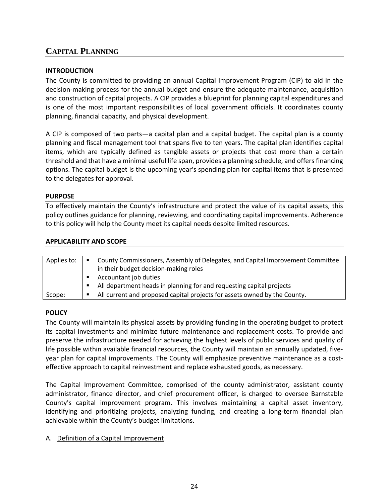# <span id="page-29-0"></span>**CAPITAL PLANNING**

## **INTRODUCTION**

The County is committed to providing an annual Capital Improvement Program (CIP) to aid in the decision-making process for the annual budget and ensure the adequate maintenance, acquisition and construction of capital projects. A CIP provides a blueprint for planning capital expenditures and is one of the most important responsibilities of local government officials. It coordinates county planning, financial capacity, and physical development.

A CIP is composed of two parts—a capital plan and a capital budget. The capital plan is a county planning and fiscal management tool that spans five to ten years. The capital plan identifies capital items, which are typically defined as tangible assets or projects that cost more than a certain threshold and that have a minimal useful life span, provides a planning schedule, and offers financing options. The capital budget is the upcoming year's spending plan for capital items that is presented to the delegates for approval.

## **PURPOSE**

To effectively maintain the County's infrastructure and protect the value of its capital assets, this policy outlines guidance for planning, reviewing, and coordinating capital improvements. Adherence to this policy will help the County meet its capital needs despite limited resources.

## **APPLICABILITY AND SCOPE**

| Applies to: | County Commissioners, Assembly of Delegates, and Capital Improvement Committee<br>in their budget decision-making roles |
|-------------|-------------------------------------------------------------------------------------------------------------------------|
|             | Accountant job duties                                                                                                   |
|             | All department heads in planning for and requesting capital projects                                                    |
| Scope:      | All current and proposed capital projects for assets owned by the County.                                               |

## **POLICY**

The County will maintain its physical assets by providing funding in the operating budget to protect its capital investments and minimize future maintenance and replacement costs. To provide and preserve the infrastructure needed for achieving the highest levels of public services and quality of life possible within available financial resources, the County will maintain an annually updated, fiveyear plan for capital improvements. The County will emphasize preventive maintenance as a costeffective approach to capital reinvestment and replace exhausted goods, as necessary.

The Capital Improvement Committee, comprised of the county administrator, assistant county administrator, finance director, and chief procurement officer, is charged to oversee Barnstable County's capital improvement program. This involves maintaining a capital asset inventory, identifying and prioritizing projects, analyzing funding, and creating a long-term financial plan achievable within the County's budget limitations.

## A. Definition of a Capital Improvement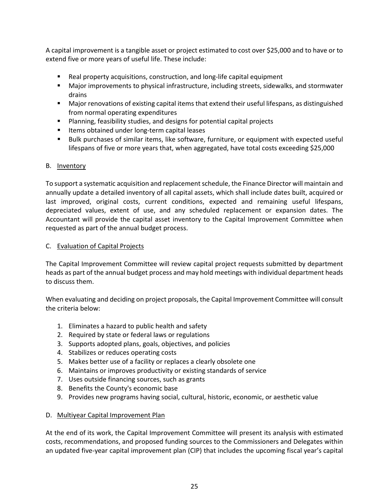A capital improvement is a tangible asset or project estimated to cost over \$25,000 and to have or to extend five or more years of useful life. These include:

- Real property acquisitions, construction, and long-life capital equipment
- Major improvements to physical infrastructure, including streets, sidewalks, and stormwater drains
- Major renovations of existing capital items that extend their useful lifespans, as distinguished from normal operating expenditures
- **Planning, feasibility studies, and designs for potential capital projects**
- Items obtained under long-term capital leases
- Bulk purchases of similar items, like software, furniture, or equipment with expected useful lifespans of five or more years that, when aggregated, have total costs exceeding \$25,000

## B. Inventory

To support a systematic acquisition and replacement schedule, the Finance Director will maintain and annually update a detailed inventory of all capital assets, which shall include dates built, acquired or last improved, original costs, current conditions, expected and remaining useful lifespans, depreciated values, extent of use, and any scheduled replacement or expansion dates. The Accountant will provide the capital asset inventory to the Capital Improvement Committee when requested as part of the annual budget process.

## C. Evaluation of Capital Projects

The Capital Improvement Committee will review capital project requests submitted by department heads as part of the annual budget process and may hold meetings with individual department heads to discuss them.

When evaluating and deciding on project proposals, the Capital Improvement Committee will consult the criteria below:

- 1. Eliminates a hazard to public health and safety
- 2. Required by state or federal laws or regulations
- 3. Supports adopted plans, goals, objectives, and policies
- 4. Stabilizes or reduces operating costs
- 5. Makes better use of a facility or replaces a clearly obsolete one
- 6. Maintains or improves productivity or existing standards of service
- 7. Uses outside financing sources, such as grants
- 8. Benefits the County's economic base
- 9. Provides new programs having social, cultural, historic, economic, or aesthetic value

## D. Multiyear Capital Improvement Plan

At the end of its work, the Capital Improvement Committee will present its analysis with estimated costs, recommendations, and proposed funding sources to the Commissioners and Delegates within an updated five-year capital improvement plan (CIP) that includes the upcoming fiscal year's capital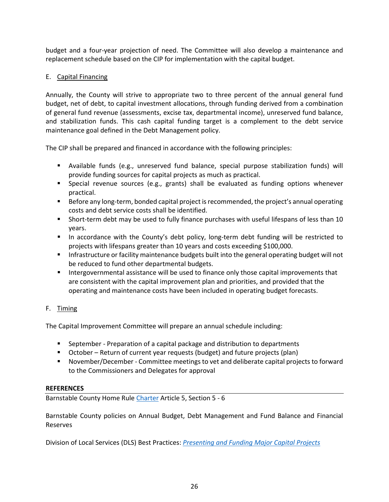budget and a four-year projection of need. The Committee will also develop a maintenance and replacement schedule based on the CIP for implementation with the capital budget.

## E. Capital Financing

Annually, the County will strive to appropriate two to three percent of the annual general fund budget, net of debt, to capital investment allocations, through funding derived from a combination of general fund revenue (assessments, excise tax, departmental income), unreserved fund balance, and stabilization funds. This cash capital funding target is a complement to the debt service maintenance goal defined in the Debt Management policy.

The CIP shall be prepared and financed in accordance with the following principles:

- Available funds (e.g., unreserved fund balance, special purpose stabilization funds) will provide funding sources for capital projects as much as practical.
- Special revenue sources (e.g., grants) shall be evaluated as funding options whenever practical.
- **Before any long-term, bonded capital project is recommended, the project's annual operating** costs and debt service costs shall be identified.
- Short-term debt may be used to fully finance purchases with useful lifespans of less than 10 years.
- In accordance with the County's debt policy, long-term debt funding will be restricted to projects with lifespans greater than 10 years and costs exceeding \$100,000.
- **Infrastructure or facility maintenance budgets built into the general operating budget will not** be reduced to fund other departmental budgets.
- Intergovernmental assistance will be used to finance only those capital improvements that are consistent with the capital improvement plan and priorities, and provided that the operating and maintenance costs have been included in operating budget forecasts.

## F. Timing

The Capital Improvement Committee will prepare an annual schedule including:

- **September Preparation of a capital package and distribution to departments**
- October Return of current year requests (budget) and future projects (plan)
- November/December Committee meetings to vet and deliberate capital projects to forward to the Commissioners and Delegates for approval

## **REFERENCES**

Barnstable County Home Rul[e Charter](https://www.barnstablecounty.org/regional-government/assembly-of-delegates/home-rule-charter/) Article 5, Section 5 - 6

Barnstable County policies on Annual Budget, Debt Management and Fund Balance and Financial Reserves

Division of Local Services (DLS) Best Practices: *[Presenting and Funding Major Capital Projects](https://www.mass.gov/media/921926/download)*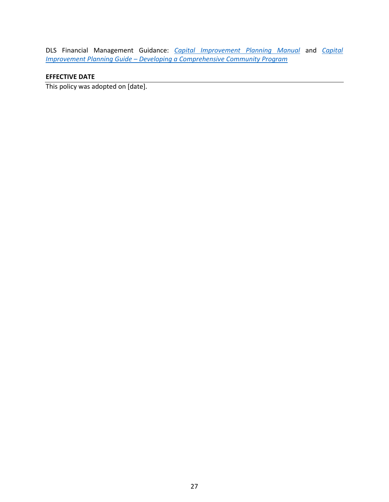DLS Financial Management Guidance: *[Capital Improvement Planning Manual](https://www.mass.gov/files/documents/2017/09/08/Capital%20Planning%20Manual%20Forms%20and%20Instructions_0.pdf)* and *[Capital](https://www.mass.gov/files/documents/2017/11/16/CapitalImprovementPlanningManual.pdf)  Improvement Planning Guide – [Developing a Comprehensive Community Program](https://www.mass.gov/files/documents/2017/11/16/CapitalImprovementPlanningManual.pdf)*

## **EFFECTIVE DATE**

This policy was adopted on [date].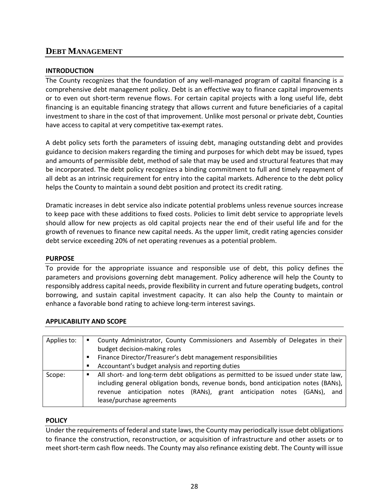# <span id="page-33-0"></span>**DEBT MANAGEMENT**

## **INTRODUCTION**

The County recognizes that the foundation of any well-managed program of capital financing is a comprehensive debt management policy. Debt is an effective way to finance capital improvements or to even out short-term revenue flows. For certain capital projects with a long useful life, debt financing is an equitable financing strategy that allows current and future beneficiaries of a capital investment to share in the cost of that improvement. Unlike most personal or private debt, Counties have access to capital at very competitive tax-exempt rates.

A debt policy sets forth the parameters of issuing debt, managing outstanding debt and provides guidance to decision makers regarding the timing and purposes for which debt may be issued, types and amounts of permissible debt, method of sale that may be used and structural features that may be incorporated. The debt policy recognizes a binding commitment to full and timely repayment of all debt as an intrinsic requirement for entry into the capital markets. Adherence to the debt policy helps the County to maintain a sound debt position and protect its credit rating.

Dramatic increases in debt service also indicate potential problems unless revenue sources increase to keep pace with these additions to fixed costs. Policies to limit debt service to appropriate levels should allow for new projects as old capital projects near the end of their useful life and for the growth of revenues to finance new capital needs. As the upper limit, credit rating agencies consider debt service exceeding 20% of net operating revenues as a potential problem.

## **PURPOSE**

To provide for the appropriate issuance and responsible use of debt, this policy defines the parameters and provisions governing debt management. Policy adherence will help the County to responsibly address capital needs, provide flexibility in current and future operating budgets, control borrowing, and sustain capital investment capacity. It can also help the County to maintain or enhance a favorable bond rating to achieve long-term interest savings.

| APPLICABILI I Y AND SCOPE |   |                                                                                      |
|---------------------------|---|--------------------------------------------------------------------------------------|
|                           |   |                                                                                      |
| Applies to:               | ٠ | County Administrator, County Commissioners and Assembly of Delegates in their        |
|                           |   | budget decision-making roles                                                         |
|                           | ٠ | Finance Director/Treasurer's debt management responsibilities                        |
|                           | п | Accountant's budget analysis and reporting duties                                    |
| Scope:                    | п | All short- and long-term debt obligations as permitted to be issued under state law, |
|                           |   | including general obligation bonds, revenue bonds, bond anticipation notes (BANs),   |
|                           |   | anticipation notes (RANs), grant anticipation notes<br>and<br>(GANs).<br>revenue     |
|                           |   | lease/purchase agreements                                                            |

## **APPLICABILITY AND SCOPE**

## **POLICY**

Under the requirements of federal and state laws, the County may periodically issue debt obligations to finance the construction, reconstruction, or acquisition of infrastructure and other assets or to meet short-term cash flow needs. The County may also refinance existing debt. The County will issue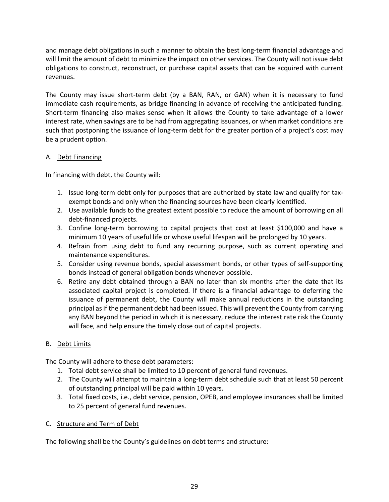and manage debt obligations in such a manner to obtain the best long-term financial advantage and will limit the amount of debt to minimize the impact on other services. The County will not issue debt obligations to construct, reconstruct, or purchase capital assets that can be acquired with current revenues.

The County may issue short-term debt (by a BAN, RAN, or GAN) when it is necessary to fund immediate cash requirements, as bridge financing in advance of receiving the anticipated funding. Short-term financing also makes sense when it allows the County to take advantage of a lower interest rate, when savings are to be had from aggregating issuances, or when market conditions are such that postponing the issuance of long-term debt for the greater portion of a project's cost may be a prudent option.

## A. Debt Financing

In financing with debt, the County will:

- 1. Issue long-term debt only for purposes that are authorized by state law and qualify for taxexempt bonds and only when the financing sources have been clearly identified.
- 2. Use available funds to the greatest extent possible to reduce the amount of borrowing on all debt-financed projects.
- 3. Confine long-term borrowing to capital projects that cost at least \$100,000 and have a minimum 10 years of useful life or whose useful lifespan will be prolonged by 10 years.
- 4. Refrain from using debt to fund any recurring purpose, such as current operating and maintenance expenditures.
- 5. Consider using revenue bonds, special assessment bonds, or other types of self-supporting bonds instead of general obligation bonds whenever possible.
- 6. Retire any debt obtained through a BAN no later than six months after the date that its associated capital project is completed. If there is a financial advantage to deferring the issuance of permanent debt, the County will make annual reductions in the outstanding principal as if the permanent debt had been issued. This will prevent the County from carrying any BAN beyond the period in which it is necessary, reduce the interest rate risk the County will face, and help ensure the timely close out of capital projects.

## B. Debt Limits

The County will adhere to these debt parameters:

- 1. Total debt service shall be limited to 10 percent of general fund revenues.
- 2. The County will attempt to maintain a long-term debt schedule such that at least 50 percent of outstanding principal will be paid within 10 years.
- 3. Total fixed costs, i.e., debt service, pension, OPEB, and employee insurances shall be limited to 25 percent of general fund revenues.

## C. Structure and Term of Debt

The following shall be the County's guidelines on debt terms and structure: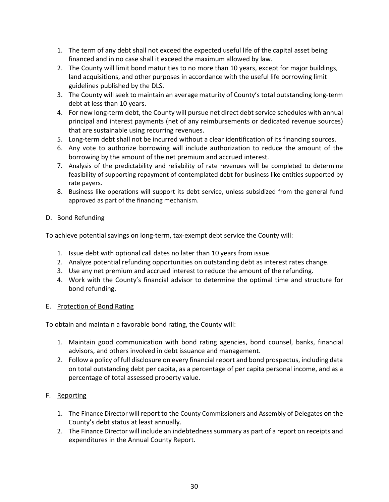- 1. The term of any debt shall not exceed the expected useful life of the capital asset being financed and in no case shall it exceed the maximum allowed by law.
- 2. The County will limit bond maturities to no more than 10 years, except for major buildings, land acquisitions, and other purposes in accordance with the useful life borrowing limit guidelines published by the DLS.
- 3. The County will seek to maintain an average maturity of County's total outstanding long-term debt at less than 10 years.
- 4. For new long-term debt, the County will pursue net direct debt service schedules with annual principal and interest payments (net of any reimbursements or dedicated revenue sources) that are sustainable using recurring revenues.
- 5. Long-term debt shall not be incurred without a clear identification of its financing sources.
- 6. Any vote to authorize borrowing will include authorization to reduce the amount of the borrowing by the amount of the net premium and accrued interest.
- 7. Analysis of the predictability and reliability of rate revenues will be completed to determine feasibility of supporting repayment of contemplated debt for business like entities supported by rate payers.
- 8. Business like operations will support its debt service, unless subsidized from the general fund approved as part of the financing mechanism.

## D. Bond Refunding

To achieve potential savings on long-term, tax-exempt debt service the County will:

- 1. Issue debt with optional call dates no later than 10 years from issue.
- 2. Analyze potential refunding opportunities on outstanding debt as interest rates change.
- 3. Use any net premium and accrued interest to reduce the amount of the refunding.
- 4. Work with the County's financial advisor to determine the optimal time and structure for bond refunding.

## E. Protection of Bond Rating

To obtain and maintain a favorable bond rating, the County will:

- 1. Maintain good communication with bond rating agencies, bond counsel, banks, financial advisors, and others involved in debt issuance and management.
- 2. Follow a policy of full disclosure on every financial report and bond prospectus, including data on total outstanding debt per capita, as a percentage of per capita personal income, and as a percentage of total assessed property value.

# F. Reporting

- 1. The Finance Director will report to the County Commissioners and Assembly of Delegates on the County's debt status at least annually.
- 2. The Finance Director will include an indebtedness summary as part of a report on receipts and expenditures in the Annual County Report.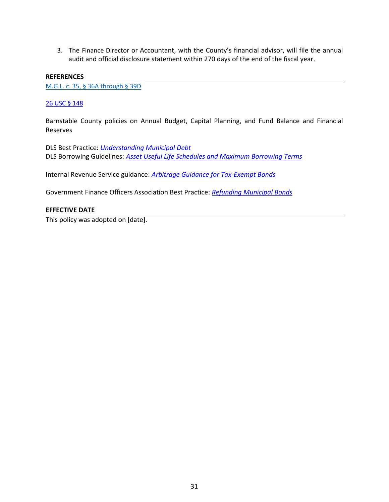3. The Finance Director or Accountant, with the County's financial advisor, will file the annual audit and official disclosure statement within 270 days of the end of the fiscal year.

#### **REFERENCES**

[M.G.L. c. 35, § 36A through § 39D](https://malegislature.gov/laws/generallaws/parti/titlevi/chapter35)

## [26 USC § 148](https://www.law.cornell.edu/uscode/text/26/148)

Barnstable County policies on Annual Budget, Capital Planning, and Fund Balance and Financial Reserves

DLS Best Practice: *[Understanding Municipal Debt](https://www.mass.gov/media/1027766/download)* DLS Borrowing Guidelines: *[Asset Useful Life Schedules and Maximum Borrowing Terms](http://mass.gov/files/documents/2017/09/22/dlsassetusefullifeschedules-maximumborrowingterm.pdf)*

Internal Revenue Service guidance: *[Arbitrage Guidance for Tax-Exempt Bonds](https://www.federalregister.gov/documents/2016/07/18/2016-16558/arbitrage-guidance-for-tax-exempt-bonds)*

Government Finance Officers Association Best Practice: *[Refunding Municipal Bonds](https://www.gfoa.org/materials/refunding-municipal-bonds)*

## **EFFECTIVE DATE**

This policy was adopted on [date].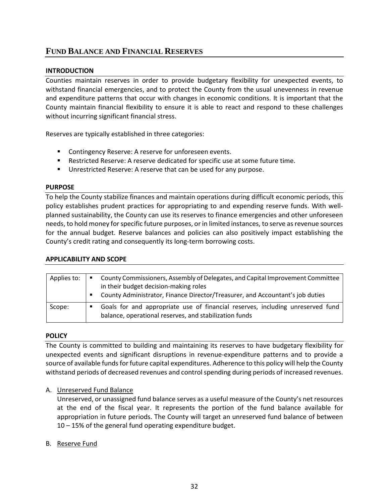# <span id="page-37-0"></span>**FUND BALANCE AND FINANCIAL RESERVES**

## **INTRODUCTION**

Counties maintain reserves in order to provide budgetary flexibility for unexpected events, to withstand financial emergencies, and to protect the County from the usual unevenness in revenue and expenditure patterns that occur with changes in economic conditions. It is important that the County maintain financial flexibility to ensure it is able to react and respond to these challenges without incurring significant financial stress.

Reserves are typically established in three categories:

- **EXECONTERGY CONTINGERY CONTINGLY PRESET VALUATE:** Contingency Reserve: A reserve for unforeseen events.
- Restricted Reserve: A reserve dedicated for specific use at some future time.
- **Unrestricted Reserve: A reserve that can be used for any purpose.**

## **PURPOSE**

To help the County stabilize finances and maintain operations during difficult economic periods, this policy establishes prudent practices for appropriating to and expending reserve funds. With wellplanned sustainability, the County can use its reserves to finance emergencies and other unforeseen needs, to hold money for specific future purposes, or in limited instances, to serve as revenue sources for the annual budget. Reserve balances and policies can also positively impact establishing the County's credit rating and consequently its long-term borrowing costs.

## **APPLICABILITY AND SCOPE**

| Applies to: | ٠<br>٠ | County Commissioners, Assembly of Delegates, and Capital Improvement Committee<br>in their budget decision-making roles<br>County Administrator, Finance Director/Treasurer, and Accountant's job duties |
|-------------|--------|----------------------------------------------------------------------------------------------------------------------------------------------------------------------------------------------------------|
| Scope:      | п      | Goals for and appropriate use of financial reserves, including unreserved fund<br>balance, operational reserves, and stabilization funds                                                                 |

## **POLICY**

The County is committed to building and maintaining its reserves to have budgetary flexibility for unexpected events and significant disruptions in revenue-expenditure patterns and to provide a source of available funds for future capital expenditures. Adherence to this policy will help the County withstand periods of decreased revenues and control spending during periods of increased revenues.

## A. Unreserved Fund Balance

Unreserved, or unassigned fund balance serves as a useful measure of the County's net resources at the end of the fiscal year. It represents the portion of the fund balance available for appropriation in future periods. The County will target an unreserved fund balance of between 10 – 15% of the general fund operating expenditure budget.

## B. Reserve Fund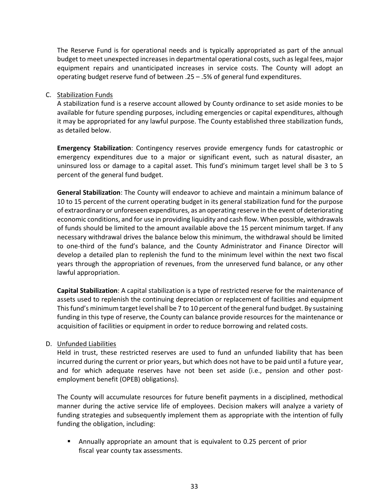The Reserve Fund is for operational needs and is typically appropriated as part of the annual budget to meet unexpected increases in departmental operational costs, such as legal fees, major equipment repairs and unanticipated increases in service costs. The County will adopt an operating budget reserve fund of between .25 – .5% of general fund expenditures.

## C. Stabilization Funds

A stabilization fund is a reserve account allowed by County ordinance to set aside monies to be available for future spending purposes, including emergencies or capital expenditures, although it may be appropriated for any lawful purpose. The County established three stabilization funds, as detailed below.

**Emergency Stabilization**: Contingency reserves provide emergency funds for catastrophic or emergency expenditures due to a major or significant event, such as natural disaster, an uninsured loss or damage to a capital asset. This fund's minimum target level shall be 3 to 5 percent of the general fund budget.

**General Stabilization**: The County will endeavor to achieve and maintain a minimum balance of 10 to 15 percent of the current operating budget in its general stabilization fund for the purpose of extraordinary or unforeseen expenditures, as an operating reserve in the event of deteriorating economic conditions, and for use in providing liquidity and cash flow. When possible, withdrawals of funds should be limited to the amount available above the 15 percent minimum target. If any necessary withdrawal drives the balance below this minimum, the withdrawal should be limited to one-third of the fund's balance, and the County Administrator and Finance Director will develop a detailed plan to replenish the fund to the minimum level within the next two fiscal years through the appropriation of revenues, from the unreserved fund balance, or any other lawful appropriation.

**Capital Stabilization**: A capital stabilization is a type of restricted reserve for the maintenance of assets used to replenish the continuing depreciation or replacement of facilities and equipment This fund's minimum target level shall be 7 to 10 percent of the general fund budget. By sustaining funding in this type of reserve, the County can balance provide resources for the maintenance or acquisition of facilities or equipment in order to reduce borrowing and related costs.

## D. Unfunded Liabilities

Held in trust, these restricted reserves are used to fund an unfunded liability that has been incurred during the current or prior years, but which does not have to be paid until a future year, and for which adequate reserves have not been set aside (i.e., pension and other postemployment benefit (OPEB) obligations).

The County will accumulate resources for future benefit payments in a disciplined, methodical manner during the active service life of employees. Decision makers will analyze a variety of funding strategies and subsequently implement them as appropriate with the intention of fully funding the obligation, including:

 Annually appropriate an amount that is equivalent to 0.25 percent of prior fiscal year county tax assessments.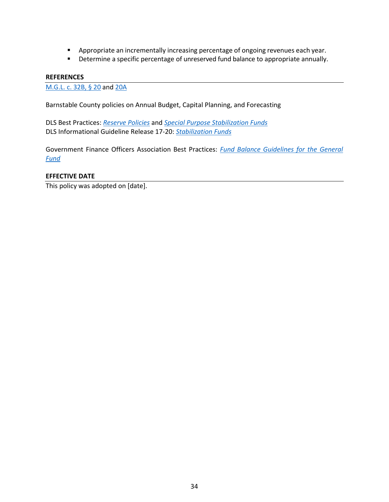- **Appropriate an incrementally increasing percentage of ongoing revenues each year.**
- **Determine a specific percentage of unreserved fund balance to appropriate annually.**

#### **REFERENCES**

[M.G.L.](https://malegislature.gov/Laws/GeneralLaws/PartI/TitleIV/Chapter32B/Section20) c. 32B, § 20 and [20A](https://malegislature.gov/Laws/GeneralLaws/PartI/TitleIV/Chapter32B/Section20A)

Barnstable County policies on Annual Budget, Capital Planning, and Forecasting

DLS Best Practices: *[Reserve Policies](https://www.mass.gov/media/925966/download)* and *[Special Purpose Stabilization Funds](https://www.mass.gov/files/documents/2017/09/09/specialstabilization.pdf)* DLS Informational Guideline Release 17-20: *[Stabilization Funds](https://www.mass.gov/files/documents/2017/09/11/igr17-20.pdf)*

Government Finance Officers Association Best Practices: *[Fund Balance Guidelines for the General](http://www.gfoa.org/appropriate-level-unrestricted-fund-balance-general-fund)  [Fund](http://www.gfoa.org/appropriate-level-unrestricted-fund-balance-general-fund)*

## **EFFECTIVE DATE**

This policy was adopted on [date].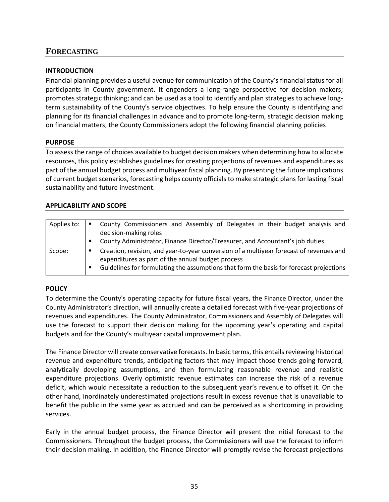## <span id="page-40-0"></span>**FORECASTING**

## **INTRODUCTION**

Financial planning provides a useful avenue for communication of the County's financial status for all participants in County government. It engenders a long-range perspective for decision makers; promotes strategic thinking; and can be used as a tool to identify and plan strategies to achieve longterm sustainability of the County's service objectives. To help ensure the County is identifying and planning for its financial challenges in advance and to promote long-term, strategic decision making on financial matters, the County Commissioners adopt the following financial planning policies

## **PURPOSE**

To assess the range of choices available to budget decision makers when determining how to allocate resources, this policy establishes guidelines for creating projections of revenues and expenditures as part of the annual budget process and multiyear fiscal planning. By presenting the future implications of current budget scenarios, forecasting helps county officials to make strategic plans for lasting fiscal sustainability and future investment.

## **APPLICABILITY AND SCOPE**

| Applies to: | County Commissioners and Assembly of Delegates in their budget analysis and<br>decision-making roles                                                                                                                                    |
|-------------|-----------------------------------------------------------------------------------------------------------------------------------------------------------------------------------------------------------------------------------------|
|             | County Administrator, Finance Director/Treasurer, and Accountant's job duties                                                                                                                                                           |
| Scope:      | Creation, revision, and year-to-year conversion of a multiyear forecast of revenues and<br>expenditures as part of the annual budget process<br>Guidelines for formulating the assumptions that form the basis for forecast projections |

## **POLICY**

To determine the County's operating capacity for future fiscal years, the Finance Director, under the County Administrator's direction, will annually create a detailed forecast with five-year projections of revenues and expenditures. The County Administrator, Commissioners and Assembly of Delegates will use the forecast to support their decision making for the upcoming year's operating and capital budgets and for the County's multiyear capital improvement plan.

The Finance Director will create conservative forecasts. In basic terms, this entails reviewing historical revenue and expenditure trends, anticipating factors that may impact those trends going forward, analytically developing assumptions, and then formulating reasonable revenue and realistic expenditure projections. Overly optimistic revenue estimates can increase the risk of a revenue deficit, which would necessitate a reduction to the subsequent year's revenue to offset it. On the other hand, inordinately underestimated projections result in excess revenue that is unavailable to benefit the public in the same year as accrued and can be perceived as a shortcoming in providing services.

Early in the annual budget process, the Finance Director will present the initial forecast to the Commissioners. Throughout the budget process, the Commissioners will use the forecast to inform their decision making. In addition, the Finance Director will promptly revise the forecast projections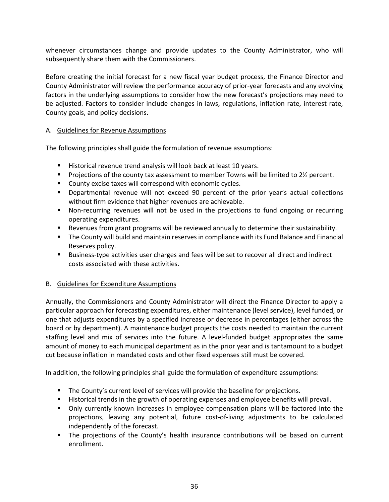whenever circumstances change and provide updates to the County Administrator, who will subsequently share them with the Commissioners.

Before creating the initial forecast for a new fiscal year budget process, the Finance Director and County Administrator will review the performance accuracy of prior-year forecasts and any evolving factors in the underlying assumptions to consider how the new forecast's projections may need to be adjusted. Factors to consider include changes in laws, regulations, inflation rate, interest rate, County goals, and policy decisions.

## A. Guidelines for Revenue Assumptions

The following principles shall guide the formulation of revenue assumptions:

- Historical revenue trend analysis will look back at least 10 years.
- **Projections of the county tax assessment to member Towns will be limited to 2**% percent.
- **County excise taxes will correspond with economic cycles.**
- **Departmental revenue will not exceed 90 percent of the prior year's actual collections** without firm evidence that higher revenues are achievable.
- Non-recurring revenues will not be used in the projections to fund ongoing or recurring operating expenditures.
- Revenues from grant programs will be reviewed annually to determine their sustainability.
- **The County will build and maintain reserves in compliance with its Fund Balance and Financial** Reserves policy.
- Business-type activities user charges and fees will be set to recover all direct and indirect costs associated with these activities.

## B. Guidelines for Expenditure Assumptions

Annually, the Commissioners and County Administrator will direct the Finance Director to apply a particular approach for forecasting expenditures, either maintenance (level service), level funded, or one that adjusts expenditures by a specified increase or decrease in percentages (either across the board or by department). A maintenance budget projects the costs needed to maintain the current staffing level and mix of services into the future. A level-funded budget appropriates the same amount of money to each municipal department as in the prior year and is tantamount to a budget cut because inflation in mandated costs and other fixed expenses still must be covered.

In addition, the following principles shall guide the formulation of expenditure assumptions:

- **The County's current level of services will provide the baseline for projections.**
- Historical trends in the growth of operating expenses and employee benefits will prevail.
- Only currently known increases in employee compensation plans will be factored into the projections, leaving any potential, future cost-of-living adjustments to be calculated independently of the forecast.
- **The projections of the County's health insurance contributions will be based on current** enrollment.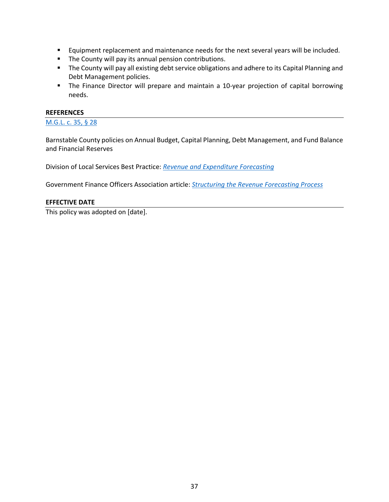- **Equipment replacement and maintenance needs for the next several years will be included.**
- **The County will pay its annual pension contributions.**
- **The County will pay all existing debt service obligations and adhere to its Capital Planning and** Debt Management policies.
- **The Finance Director will prepare and maintain a 10-year projection of capital borrowing** needs.

#### **REFERENCES**

[M.G.L. c. 35, § 28](https://malegislature.gov/Laws/GeneralLaws/PartI/TitleVI/Chapter35/Section28)

Barnstable County policies on Annual Budget, Capital Planning, Debt Management, and Fund Balance and Financial Reserves

Division of Local Services Best Practice: *[Revenue and Expenditure Forecasting](https://www.mass.gov/media/1261791/download)*

Government Finance Officers Association article: *[Structuring the Revenue Forecasting Process](http://www.gfoa.org/structuring-revenue-forecasting-process)*

#### **EFFECTIVE DATE**

This policy was adopted on [date].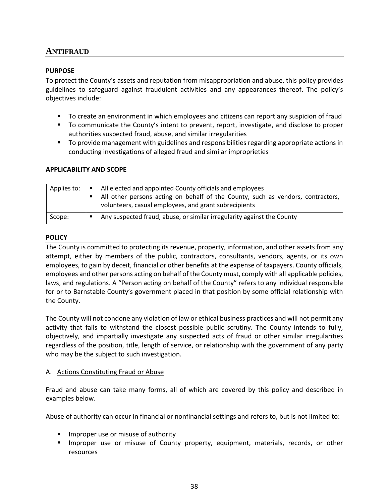## <span id="page-43-0"></span>**ANTIFRAUD**

## **PURPOSE**

To protect the County's assets and reputation from misappropriation and abuse, this policy provides guidelines to safeguard against fraudulent activities and any appearances thereof. The policy's objectives include:

- To create an environment in which employees and citizens can report any suspicion of fraud
- To communicate the County's intent to prevent, report, investigate, and disclose to proper authorities suspected fraud, abuse, and similar irregularities
- To provide management with guidelines and responsibilities regarding appropriate actions in conducting investigations of alleged fraud and similar improprieties

## **APPLICABILITY AND SCOPE**

| Applies to: | All elected and appointed County officials and employees<br>All other persons acting on behalf of the County, such as vendors, contractors,<br>volunteers, casual employees, and grant subrecipients |
|-------------|------------------------------------------------------------------------------------------------------------------------------------------------------------------------------------------------------|
| Scope:      | Any suspected fraud, abuse, or similar irregularity against the County<br>٠                                                                                                                          |

## **POLICY**

The County is committed to protecting its revenue, property, information, and other assets from any attempt, either by members of the public, contractors, consultants, vendors, agents, or its own employees, to gain by deceit, financial or other benefits at the expense of taxpayers. County officials, employees and other persons acting on behalf of the County must, comply with all applicable policies, laws, and regulations. A "Person acting on behalf of the County" refers to any individual responsible for or to Barnstable County's government placed in that position by some official relationship with the County.

The County will not condone any violation of law or ethical business practices and will not permit any activity that fails to withstand the closest possible public scrutiny. The County intends to fully, objectively, and impartially investigate any suspected acts of fraud or other similar irregularities regardless of the position, title, length of service, or relationship with the government of any party who may be the subject to such investigation.

## A. Actions Constituting Fraud or Abuse

Fraud and abuse can take many forms, all of which are covered by this policy and described in examples below.

Abuse of authority can occur in financial or nonfinancial settings and refers to, but is not limited to:

- **If** Improper use or misuse of authority
- **IMPROPERENT USE OF MISS 2015 COUNTY PROPERTY, equipment, materials, records, or other** resources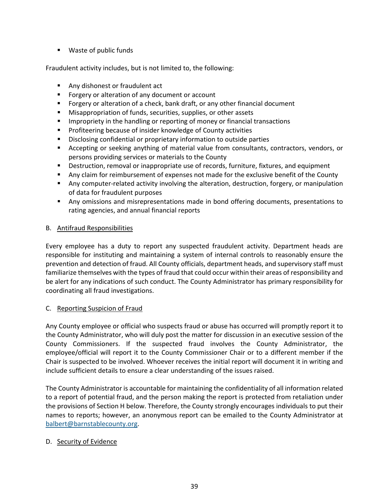■ Waste of public funds

Fraudulent activity includes, but is not limited to, the following:

- **Any dishonest or fraudulent act**
- **Fig. 5** Forgery or alteration of any document or account
- Forgery or alteration of a check, bank draft, or any other financial document
- Misappropriation of funds, securities, supplies, or other assets
- **IMPROPERTY IS THE IMAGE IN THE META** Impropriety in the handling or reporting of money or financial transactions
- **Profiteering because of insider knowledge of County activities**
- **Disclosing confidential or proprietary information to outside parties**
- Accepting or seeking anything of material value from consultants, contractors, vendors, or persons providing services or materials to the County
- **Destruction, removal or inappropriate use of records, furniture, fixtures, and equipment**
- Any claim for reimbursement of expenses not made for the exclusive benefit of the County
- Any computer-related activity involving the alteration, destruction, forgery, or manipulation of data for fraudulent purposes
- **Any omissions and misrepresentations made in bond offering documents, presentations to** rating agencies, and annual financial reports

## B. Antifraud Responsibilities

Every employee has a duty to report any suspected fraudulent activity. Department heads are responsible for instituting and maintaining a system of internal controls to reasonably ensure the prevention and detection of fraud. All County officials, department heads, and supervisory staff must familiarize themselves with the types of fraud that could occur within their areas of responsibility and be alert for any indications of such conduct. The County Administrator has primary responsibility for coordinating all fraud investigations.

## C. Reporting Suspicion of Fraud

Any County employee or official who suspects fraud or abuse has occurred will promptly report it to the County Administrator, who will duly post the matter for discussion in an executive session of the County Commissioners. If the suspected fraud involves the County Administrator, the employee/official will report it to the County Commissioner Chair or to a different member if the Chair is suspected to be involved. Whoever receives the initial report will document it in writing and include sufficient details to ensure a clear understanding of the issues raised.

The County Administrator is accountable for maintaining the confidentiality of all information related to a report of potential fraud, and the person making the report is protected from retaliation under the provisions of Section H below. Therefore, the County strongly encourages individuals to put their names to reports; however, an anonymous report can be emailed to the County Administrator at [balbert@barnstablecounty.org.](mailto:balbert@barnstablecounty.org)

## D. Security of Evidence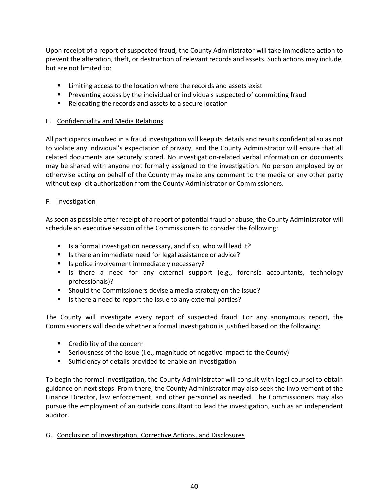Upon receipt of a report of suspected fraud, the County Administrator will take immediate action to prevent the alteration, theft, or destruction of relevant records and assets. Such actions may include, but are not limited to:

- **EXTERGH** Limiting access to the location where the records and assets exist
- **Preventing access by the individual or individuals suspected of committing fraud**
- Relocating the records and assets to a secure location

## E. Confidentiality and Media Relations

All participants involved in a fraud investigation will keep its details and results confidential so as not to violate any individual's expectation of privacy, and the County Administrator will ensure that all related documents are securely stored. No investigation-related verbal information or documents may be shared with anyone not formally assigned to the investigation. No person employed by or otherwise acting on behalf of the County may make any comment to the media or any other party without explicit authorization from the County Administrator or Commissioners.

## F. Investigation

As soon as possible after receipt of a report of potential fraud or abuse, the County Administrator will schedule an executive session of the Commissioners to consider the following:

- Is a formal investigation necessary, and if so, who will lead it?
- Is there an immediate need for legal assistance or advice?
- Is police involvement immediately necessary?
- Is there a need for any external support (e.g., forensic accountants, technology professionals)?
- **Should the Commissioners devise a media strategy on the issue?**
- Is there a need to report the issue to any external parties?

The County will investigate every report of suspected fraud. For any anonymous report, the Commissioners will decide whether a formal investigation is justified based on the following:

- **EXECT** Credibility of the concern
- Seriousness of the issue (i.e., magnitude of negative impact to the County)
- **Sufficiency of details provided to enable an investigation**

To begin the formal investigation, the County Administrator will consult with legal counsel to obtain guidance on next steps. From there, the County Administrator may also seek the involvement of the Finance Director, law enforcement, and other personnel as needed. The Commissioners may also pursue the employment of an outside consultant to lead the investigation, such as an independent auditor.

G. Conclusion of Investigation, Corrective Actions, and Disclosures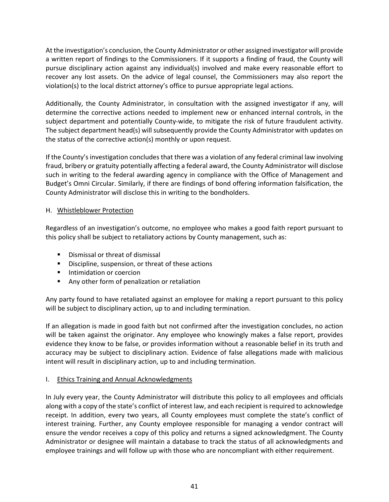At the investigation's conclusion, the County Administrator or other assigned investigator will provide a written report of findings to the Commissioners. If it supports a finding of fraud, the County will pursue disciplinary action against any individual(s) involved and make every reasonable effort to recover any lost assets. On the advice of legal counsel, the Commissioners may also report the violation(s) to the local district attorney's office to pursue appropriate legal actions.

Additionally, the County Administrator, in consultation with the assigned investigator if any, will determine the corrective actions needed to implement new or enhanced internal controls, in the subject department and potentially County-wide, to mitigate the risk of future fraudulent activity. The subject department head(s) will subsequently provide the County Administrator with updates on the status of the corrective action(s) monthly or upon request.

If the County's investigation concludes that there was a violation of any federal criminal law involving fraud, bribery or gratuity potentially affecting a federal award, the County Administrator will disclose such in writing to the federal awarding agency in compliance with the Office of Management and Budget's Omni Circular. Similarly, if there are findings of bond offering information falsification, the County Administrator will disclose this in writing to the bondholders.

## H. Whistleblower Protection

Regardless of an investigation's outcome, no employee who makes a good faith report pursuant to this policy shall be subject to retaliatory actions by County management, such as:

- **•** Dismissal or threat of dismissal
- **Discipline, suspension, or threat of these actions**
- **Intimidation or coercion**
- **Any other form of penalization or retaliation**

Any party found to have retaliated against an employee for making a report pursuant to this policy will be subject to disciplinary action, up to and including termination.

If an allegation is made in good faith but not confirmed after the investigation concludes, no action will be taken against the originator. Any employee who knowingly makes a false report, provides evidence they know to be false, or provides information without a reasonable belief in its truth and accuracy may be subject to disciplinary action. Evidence of false allegations made with malicious intent will result in disciplinary action, up to and including termination.

## I. Ethics Training and Annual Acknowledgments

In July every year, the County Administrator will distribute this policy to all employees and officials along with a copy of the state's conflict of interest law, and each recipient is required to acknowledge receipt. In addition, every two years, all County employees must complete the state's conflict of interest training. Further, any County employee responsible for managing a vendor contract will ensure the vendor receives a copy of this policy and returns a signed acknowledgment. The County Administrator or designee will maintain a database to track the status of all acknowledgments and employee trainings and will follow up with those who are noncompliant with either requirement.